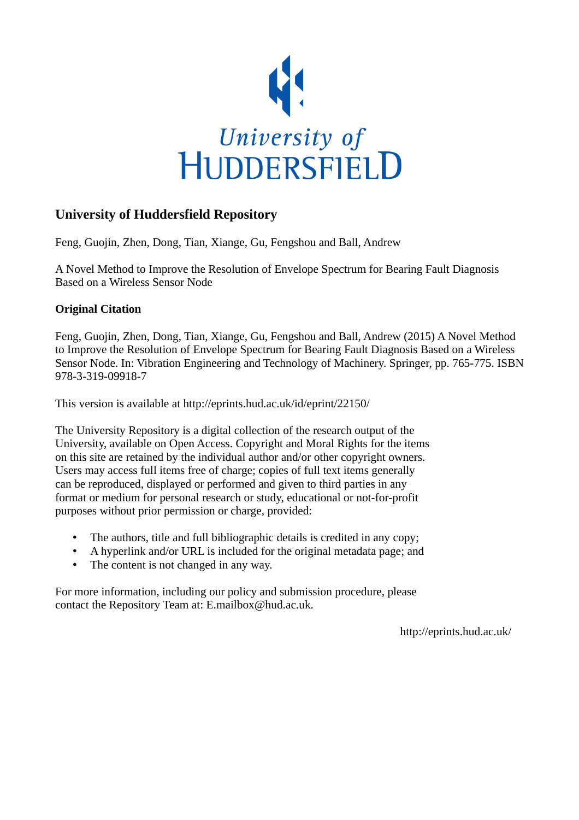

# **University of Huddersfield Repository**

Feng, Guojin, Zhen, Dong, Tian, Xiange, Gu, Fengshou and Ball, Andrew

A Novel Method to Improve the Resolution of Envelope Spectrum for Bearing Fault Diagnosis Based on a Wireless Sensor Node

# **Original Citation**

Feng, Guojin, Zhen, Dong, Tian, Xiange, Gu, Fengshou and Ball, Andrew (2015) A Novel Method to Improve the Resolution of Envelope Spectrum for Bearing Fault Diagnosis Based on a Wireless Sensor Node. In: Vibration Engineering and Technology of Machinery. Springer, pp. 765-775. ISBN 978-3-319-09918-7

This version is available at http://eprints.hud.ac.uk/id/eprint/22150/

The University Repository is a digital collection of the research output of the University, available on Open Access. Copyright and Moral Rights for the items on this site are retained by the individual author and/or other copyright owners. Users may access full items free of charge; copies of full text items generally can be reproduced, displayed or performed and given to third parties in any format or medium for personal research or study, educational or not-for-profit purposes without prior permission or charge, provided:

- The authors, title and full bibliographic details is credited in any copy;
- A hyperlink and/or URL is included for the original metadata page; and
- The content is not changed in any way.

For more information, including our policy and submission procedure, please contact the Repository Team at: E.mailbox@hud.ac.uk.

http://eprints.hud.ac.uk/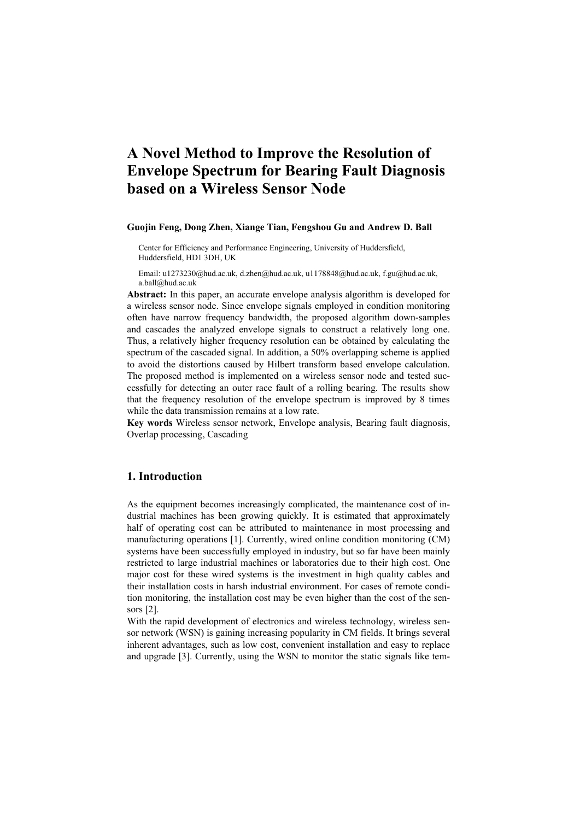# **A Novel Method to Improve the Resolution of Envelope Spectrum for Bearing Fault Diagnosis based on a Wireless Sensor Node**

#### **Guojin Feng, Dong Zhen, Xiange Tian, Fengshou Gu and Andrew D. Ball**

Center for Efficiency and Performance Engineering, University of Huddersfield, Huddersfield, HD1 3DH, UK

Email: [u1273230@hud.ac.uk,](mailto:u1273230@hud.ac.uk) [d.zhen@hud.ac.uk,](mailto:d.zhen@hud.ac.uk) [u1178848@hud.ac.uk,](mailto:u1178848@hud.ac.uk) [f.gu@hud.ac.uk,](mailto:f.gu@hud.ac.uk) [a.ball@hud.ac.uk](mailto:a.ball@hud.ac.uk)

**Abstract:** In this paper, an accurate envelope analysis algorithm is developed for a wireless sensor node. Since envelope signals employed in condition monitoring often have narrow frequency bandwidth, the proposed algorithm down-samples and cascades the analyzed envelope signals to construct a relatively long one. Thus, a relatively higher frequency resolution can be obtained by calculating the spectrum of the cascaded signal. In addition, a 50% overlapping scheme is applied to avoid the distortions caused by Hilbert transform based envelope calculation. The proposed method is implemented on a wireless sensor node and tested successfully for detecting an outer race fault of a rolling bearing. The results show that the frequency resolution of the envelope spectrum is improved by 8 times while the data transmission remains at a low rate.

**Key words** Wireless sensor network, Envelope analysis, Bearing fault diagnosis, Overlap processing, Cascading

## **1. Introduction**

As the equipment becomes increasingly complicated, the maintenance cost of industrial machines has been growing quickly. It is estimated that approximately half of operating cost can be attributed to maintenance in most processing and manufacturing operations [1]. Currently, wired online condition monitoring (CM) systems have been successfully employed in industry, but so far have been mainly restricted to large industrial machines or laboratories due to their high cost. One major cost for these wired systems is the investment in high quality cables and their installation costs in harsh industrial environment. For cases of remote condition monitoring, the installation cost may be even higher than the cost of the sensors [2].

With the rapid development of electronics and wireless technology, wireless sensor network (WSN) is gaining increasing popularity in CM fields. It brings several inherent advantages, such as low cost, convenient installation and easy to replace and upgrade [3]. Currently, using the WSN to monitor the static signals like tem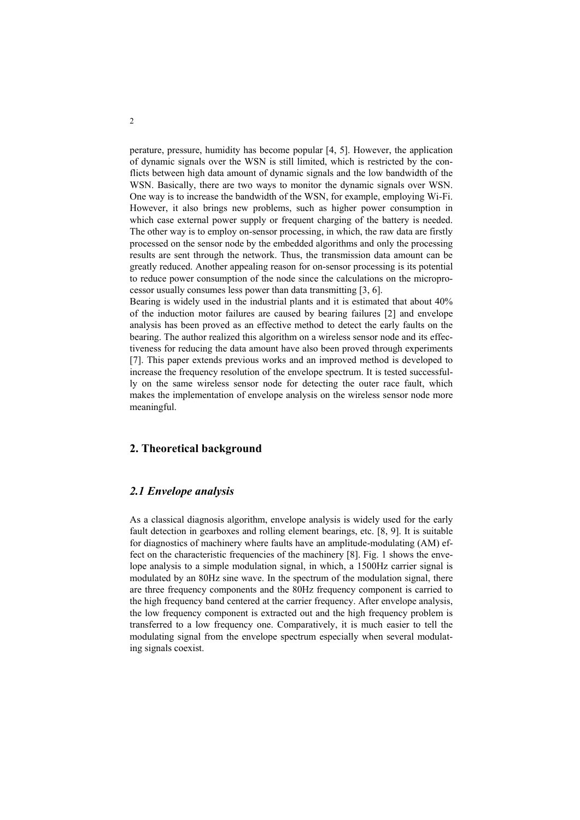perature, pressure, humidity has become popular [4, 5]. However, the application of dynamic signals over the WSN is still limited, which is restricted by the conflicts between high data amount of dynamic signals and the low bandwidth of the WSN. Basically, there are two ways to monitor the dynamic signals over WSN. One way is to increase the bandwidth of the WSN, for example, employing Wi-Fi. However, it also brings new problems, such as higher power consumption in which case external power supply or frequent charging of the battery is needed. The other way is to employ on-sensor processing, in which, the raw data are firstly processed on the sensor node by the embedded algorithms and only the processing results are sent through the network. Thus, the transmission data amount can be greatly reduced. Another appealing reason for on-sensor processing is its potential to reduce power consumption of the node since the calculations on the microprocessor usually consumes less power than data transmitting [3, 6].

Bearing is widely used in the industrial plants and it is estimated that about 40% of the induction motor failures are caused by bearing failures [2] and envelope analysis has been proved as an effective method to detect the early faults on the bearing. The author realized this algorithm on a wireless sensor node and its effectiveness for reducing the data amount have also been proved through experiments [7]. This paper extends previous works and an improved method is developed to increase the frequency resolution of the envelope spectrum. It is tested successfully on the same wireless sensor node for detecting the outer race fault, which makes the implementation of envelope analysis on the wireless sensor node more meaningful.

#### **2. Theoretical background**

#### *2.1 Envelope analysis*

As a classical diagnosis algorithm, envelope analysis is widely used for the early fault detection in gearboxes and rolling element bearings, etc. [8, 9]. It is suitable for diagnostics of machinery where faults have an amplitude-modulating (AM) effect on the characteristic frequencies of the machinery [8]. [Fig. 1](#page-3-0) shows the envelope analysis to a simple modulation signal, in which, a 1500Hz carrier signal is modulated by an 80Hz sine wave. In the spectrum of the modulation signal, there are three frequency components and the 80Hz frequency component is carried to the high frequency band centered at the carrier frequency. After envelope analysis, the low frequency component is extracted out and the high frequency problem is transferred to a low frequency one. Comparatively, it is much easier to tell the modulating signal from the envelope spectrum especially when several modulating signals coexist.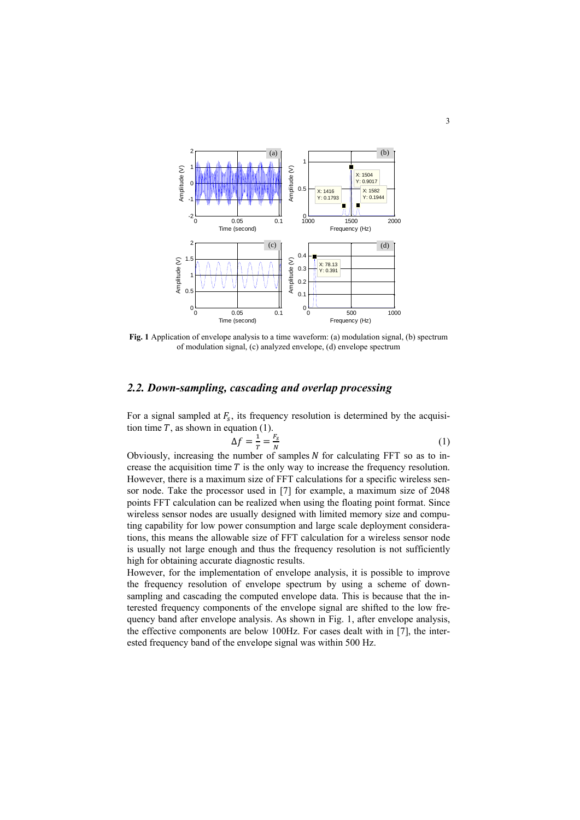

<span id="page-3-0"></span>**Fig. 1** Application of envelope analysis to a time waveform: (a) modulation signal, (b) spectrum of modulation signal, (c) analyzed envelope, (d) envelope spectrum

#### *2.2. Down-sampling, cascading and overlap processing*

For a signal sampled at  $F_s$ , its frequency resolution is determined by the acquisition time  $T$ , as shown in equation (1).

$$
\Delta f = \frac{1}{T} = \frac{F_S}{N} \tag{1}
$$

Obviously, increasing the number of samples  $N$  for calculating FFT so as to increase the acquisition time  $T$  is the only way to increase the frequency resolution. However, there is a maximum size of FFT calculations for a specific wireless sensor node. Take the processor used in [7] for example, a maximum size of 2048 points FFT calculation can be realized when using the floating point format. Since wireless sensor nodes are usually designed with limited memory size and computing capability for low power consumption and large scale deployment considerations, this means the allowable size of FFT calculation for a wireless sensor node is usually not large enough and thus the frequency resolution is not sufficiently high for obtaining accurate diagnostic results.

However, for the implementation of envelope analysis, it is possible to improve the frequency resolution of envelope spectrum by using a scheme of downsampling and cascading the computed envelope data. This is because that the interested frequency components of the envelope signal are shifted to the low frequency band after envelope analysis. As shown in [Fig. 1,](#page-3-0) after envelope analysis, the effective components are below 100Hz. For cases dealt with in [7], the interested frequency band of the envelope signal was within 500 Hz.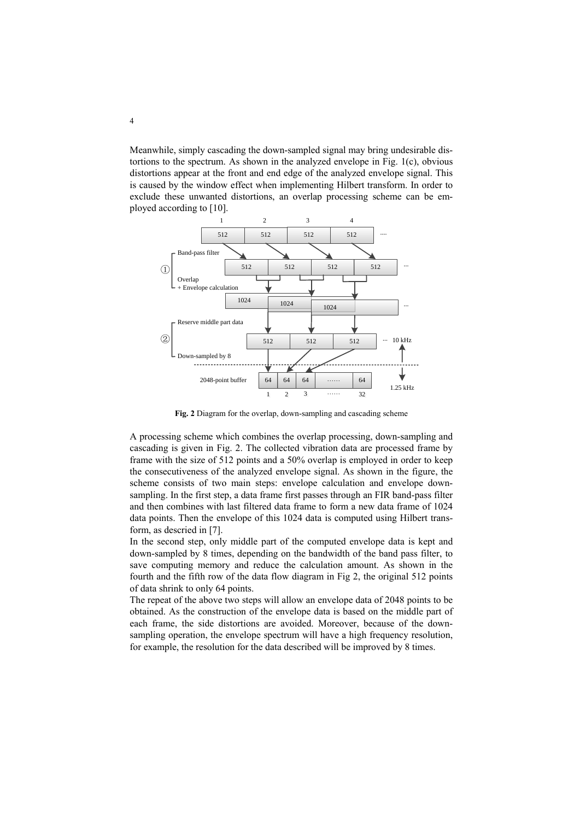Meanwhile, simply cascading the down-sampled signal may bring undesirable distortions to the spectrum. As shown in the analyzed envelope in [Fig. 1\(](#page-3-0)c), obvious distortions appear at the front and end edge of the analyzed envelope signal. This is caused by the window effect when implementing Hilbert transform. In order to exclude these unwanted distortions, an overlap processing scheme can be employed according to [10].



**Fig. 2** Diagram for the overlap, down-sampling and cascading scheme

<span id="page-4-0"></span>A processing scheme which combines the overlap processing, down-sampling and cascading is given in [Fig.](#page-4-0) 2. The collected vibration data are processed frame by frame with the size of 512 points and a 50% overlap is employed in order to keep the consecutiveness of the analyzed envelope signal. As shown in the figure, the scheme consists of two main steps: envelope calculation and envelope downsampling. In the first step, a data frame first passes through an FIR band-pass filter and then combines with last filtered data frame to form a new data frame of 1024 data points. Then the envelope of this 1024 data is computed using Hilbert transform, as descried in [7].

In the second step, only middle part of the computed envelope data is kept and down-sampled by 8 times, depending on the bandwidth of the band pass filter, to save computing memory and reduce the calculation amount. As shown in the fourth and the fifth row of the data flow diagram in Fig 2, the original 512 points of data shrink to only 64 points.

The repeat of the above two steps will allow an envelope data of 2048 points to be obtained. As the construction of the envelope data is based on the middle part of each frame, the side distortions are avoided. Moreover, because of the downsampling operation, the envelope spectrum will have a high frequency resolution, for example, the resolution for the data described will be improved by 8 times.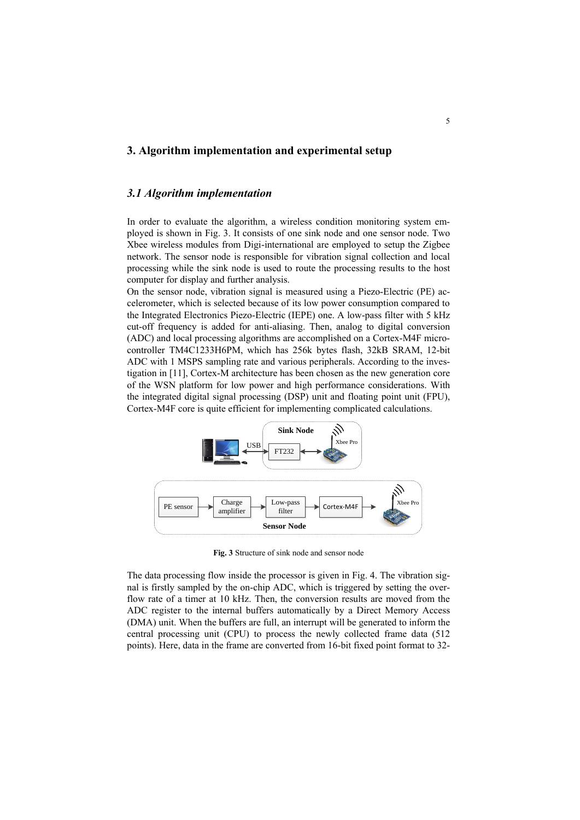## **3. Algorithm implementation and experimental setup**

## *3.1 Algorithm implementation*

In order to evaluate the algorithm, a wireless condition monitoring system employed is shown in [Fig. 3.](#page-5-0) It consists of one sink node and one sensor node. Two Xbee wireless modules from Digi-international are employed to setup the Zigbee network. The sensor node is responsible for vibration signal collection and local processing while the sink node is used to route the processing results to the host computer for display and further analysis.

On the sensor node, vibration signal is measured using a Piezo-Electric (PE) accelerometer, which is selected because of its low power consumption compared to the Integrated Electronics Piezo-Electric (IEPE) one. A low-pass filter with 5 kHz cut-off frequency is added for anti-aliasing. Then, analog to digital conversion (ADC) and local processing algorithms are accomplished on a Cortex-M4F microcontroller TM4C1233H6PM, which has 256k bytes flash, 32kB SRAM, 12-bit ADC with 1 MSPS sampling rate and various peripherals. According to the investigation in [11], Cortex-M architecture has been chosen as the new generation core of the WSN platform for low power and high performance considerations. With the integrated digital signal processing (DSP) unit and floating point unit (FPU), Cortex-M4F core is quite efficient for implementing complicated calculations.



**Fig. 3** Structure of sink node and sensor node

<span id="page-5-0"></span>The data processing flow inside the processor is given in [Fig. 4.](#page-6-0) The vibration signal is firstly sampled by the on-chip ADC, which is triggered by setting the overflow rate of a timer at 10 kHz. Then, the conversion results are moved from the ADC register to the internal buffers automatically by a Direct Memory Access (DMA) unit. When the buffers are full, an interrupt will be generated to inform the central processing unit (CPU) to process the newly collected frame data (512 points). Here, data in the frame are converted from 16-bit fixed point format to 32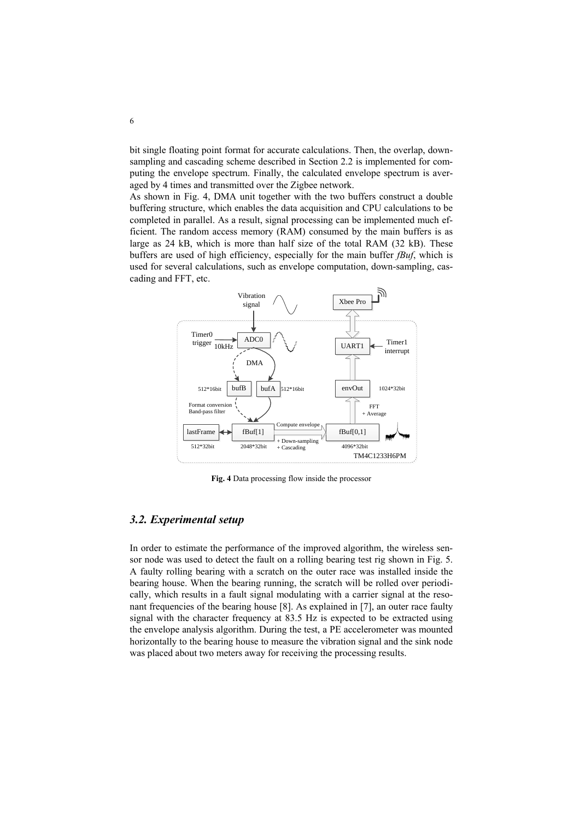bit single floating point format for accurate calculations. Then, the overlap, downsampling and cascading scheme described in Section 2.2 is implemented for computing the envelope spectrum. Finally, the calculated envelope spectrum is averaged by 4 times and transmitted over the Zigbee network.

As shown in [Fig. 4,](#page-6-0) DMA unit together with the two buffers construct a double buffering structure, which enables the data acquisition and CPU calculations to be completed in parallel. As a result, signal processing can be implemented much efficient. The random access memory (RAM) consumed by the main buffers is as large as 24 kB, which is more than half size of the total RAM (32 kB). These buffers are used of high efficiency, especially for the main buffer *fBuf*, which is used for several calculations, such as envelope computation, down-sampling, cascading and FFT, etc.



**Fig. 4** Data processing flow inside the processor

### <span id="page-6-0"></span>*3.2. Experimental setup*

In order to estimate the performance of the improved algorithm, the wireless sensor node was used to detect the fault on a rolling bearing test rig shown in [Fig. 5.](#page-7-0)  A faulty rolling bearing with a scratch on the outer race was installed inside the bearing house. When the bearing running, the scratch will be rolled over periodically, which results in a fault signal modulating with a carrier signal at the resonant frequencies of the bearing house [8]. As explained in [7], an outer race faulty signal with the character frequency at 83.5 Hz is expected to be extracted using the envelope analysis algorithm. During the test, a PE accelerometer was mounted horizontally to the bearing house to measure the vibration signal and the sink node was placed about two meters away for receiving the processing results.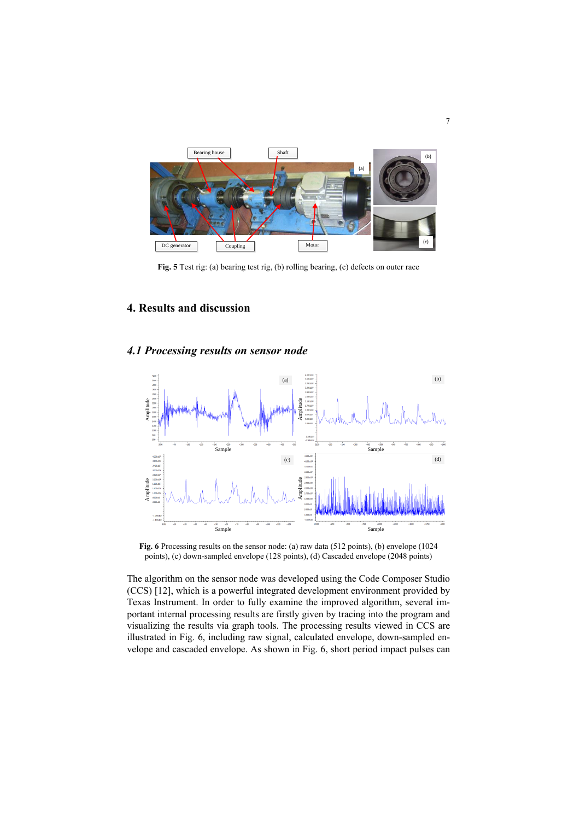

**Fig. 5** Test rig: (a) bearing test rig, (b) rolling bearing, (c) defects on outer race

## <span id="page-7-0"></span>**4. Results and discussion**

## *4.1 Processing results on sensor node*



<span id="page-7-1"></span>**Fig. 6** Processing results on the sensor node: (a) raw data (512 points), (b) envelope (1024 points), (c) down-sampled envelope (128 points), (d) Cascaded envelope (2048 points)

The algorithm on the sensor node was developed using the Code Composer Studio (CCS) [12], which is a powerful integrated development environment provided by Texas Instrument. In order to fully examine the improved algorithm, several important internal processing results are firstly given by tracing into the program and visualizing the results via graph tools. The processing results viewed in CCS are illustrated in [Fig.](#page-7-1) 6, including raw signal, calculated envelope, down-sampled envelope and cascaded envelope. As shown in [Fig.](#page-7-1) 6, short period impact pulses can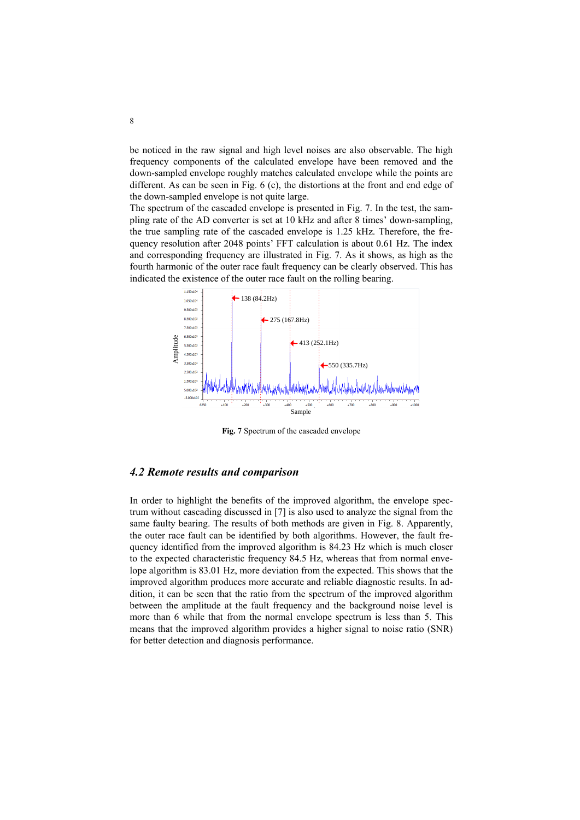be noticed in the raw signal and high level noises are also observable. The high frequency components of the calculated envelope have been removed and the down-sampled envelope roughly matches calculated envelope while the points are different. As can be seen in [Fig.](#page-7-1) 6 (c), the distortions at the front and end edge of the down-sampled envelope is not quite large.

The spectrum of the cascaded envelope is presented in [Fig.](#page-8-0) 7. In the test, the sampling rate of the AD converter is set at 10 kHz and after 8 times' down-sampling, the true sampling rate of the cascaded envelope is 1.25 kHz. Therefore, the frequency resolution after 2048 points' FFT calculation is about 0.61 Hz. The index and corresponding frequency are illustrated in Fig. 7. As it shows, as high as the fourth harmonic of the outer race fault frequency can be clearly observed. This has indicated the existence of the outer race fault on the rolling bearing.



**Fig. 7** Spectrum of the cascaded envelope

#### <span id="page-8-0"></span>*4.2 Remote results and comparison*

In order to highlight the benefits of the improved algorithm, the envelope spectrum without cascading discussed in [7] is also used to analyze the signal from the same faulty bearing. The results of both methods are given in [Fig. 8.](#page-9-0) Apparently, the outer race fault can be identified by both algorithms. However, the fault frequency identified from the improved algorithm is 84.23 Hz which is much closer to the expected characteristic frequency 84.5 Hz, whereas that from normal envelope algorithm is 83.01 Hz, more deviation from the expected. This shows that the improved algorithm produces more accurate and reliable diagnostic results. In addition, it can be seen that the ratio from the spectrum of the improved algorithm between the amplitude at the fault frequency and the background noise level is more than 6 while that from the normal envelope spectrum is less than 5. This means that the improved algorithm provides a higher signal to noise ratio (SNR) for better detection and diagnosis performance.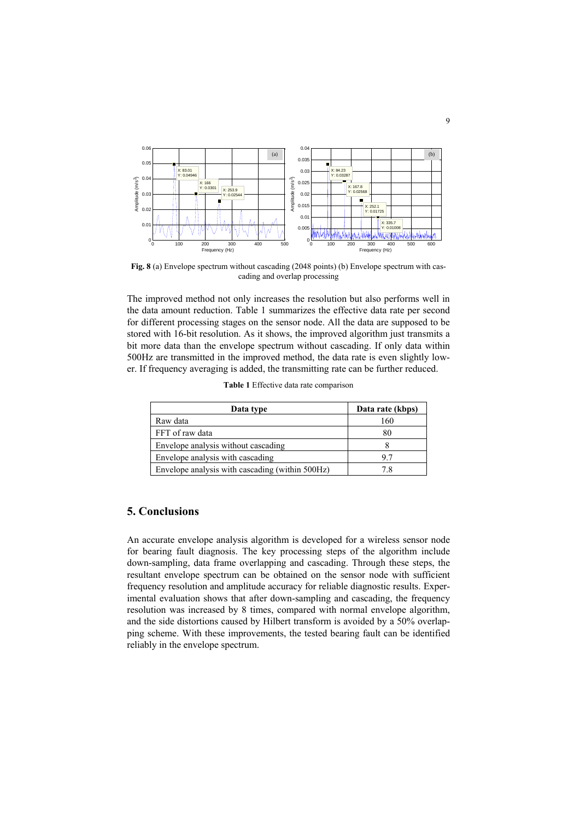

<span id="page-9-0"></span>**Fig. 8** (a) Envelope spectrum without cascading (2048 points) (b) Envelope spectrum with cascading and overlap processing

The improved method not only increases the resolution but also performs well in the data amount reduction. [Table 1](#page-9-1) summarizes the effective data rate per second for different processing stages on the sensor node. All the data are supposed to be stored with 16-bit resolution. As it shows, the improved algorithm just transmits a bit more data than the envelope spectrum without cascading. If only data within 500Hz are transmitted in the improved method, the data rate is even slightly lower. If frequency averaging is added, the transmitting rate can be further reduced.

|  |  |  |  | <b>Table 1</b> Effective data rate comparison |
|--|--|--|--|-----------------------------------------------|
|--|--|--|--|-----------------------------------------------|

<span id="page-9-1"></span>

| Data type                                       | Data rate (kbps) |
|-------------------------------------------------|------------------|
| Raw data                                        | 160              |
| FFT of raw data                                 | 80               |
| Envelope analysis without cascading             |                  |
| Envelope analysis with cascading                | 97               |
| Envelope analysis with cascading (within 500Hz) | 78               |

## **5. Conclusions**

An accurate envelope analysis algorithm is developed for a wireless sensor node for bearing fault diagnosis. The key processing steps of the algorithm include down-sampling, data frame overlapping and cascading. Through these steps, the resultant envelope spectrum can be obtained on the sensor node with sufficient frequency resolution and amplitude accuracy for reliable diagnostic results. Experimental evaluation shows that after down-sampling and cascading, the frequency resolution was increased by 8 times, compared with normal envelope algorithm, and the side distortions caused by Hilbert transform is avoided by a 50% overlapping scheme. With these improvements, the tested bearing fault can be identified reliably in the envelope spectrum.